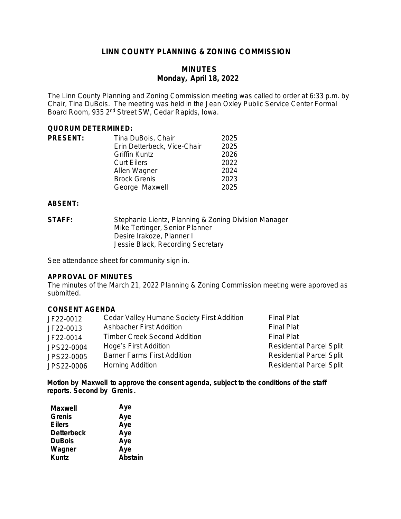# **LINN COUNTY PLANNING & ZONING COMMISSION**

# **MINUTES Monday, April 18, 2022**

The Linn County Planning and Zoning Commission meeting was called to order at 6:33 p.m. by Chair, Tina DuBois. The meeting was held in the Jean Oxley Public Service Center Formal Board Room, 935 2nd Street SW, Cedar Rapids, Iowa.

### **QUORUM DETERMINED:**

| <b>PRESENT:</b> | Tina DuBois, Chair          | 2025 |
|-----------------|-----------------------------|------|
|                 | Erin Detterbeck, Vice-Chair | 2025 |
|                 | <b>Griffin Kuntz</b>        | 2026 |
|                 | <b>Curt Eilers</b>          | 2022 |
|                 | Allen Wagner                | 2024 |
|                 | <b>Brock Grenis</b>         | 2023 |
|                 | George Maxwell              | 2025 |

## **ABSENT:**

**STAFF:** Stephanie Lientz, Planning & Zoning Division Manager Mike Tertinger, Senior Planner Desire Irakoze, Planner I Jessie Black, Recording Secretary

See attendance sheet for community sign in.

### **APPROVAL OF MINUTES**

The minutes of the March 21, 2022 Planning & Zoning Commission meeting were approved as submitted.

## **CONSENT AGENDA**

| JF22-0012  | Cedar Valley Humane Society First Addition | <b>Final Plat</b>               |
|------------|--------------------------------------------|---------------------------------|
| JF22-0013  | Ashbacher First Addition                   | <b>Final Plat</b>               |
| JF22-0014  | <b>Timber Creek Second Addition</b>        | <b>Final Plat</b>               |
| JPS22-0004 | Hoge's First Addition                      | <b>Residential Parcel Split</b> |
| JPS22-0005 | <b>Barner Farms First Addition</b>         | <b>Residential Parcel Split</b> |
| JPS22-0006 | Horning Addition                           | <b>Residential Parcel Split</b> |

**Motion by Maxwell to approve the consent agenda, subject to the conditions of the staff reports. Second by Grenis.**

| Maxwell           | Aye     |
|-------------------|---------|
| <b>Grenis</b>     | Aye     |
| <b>Eilers</b>     | Aye     |
| <b>Detterbeck</b> | Aye     |
| <b>DuBois</b>     | Aye     |
| Wagner            | Aye     |
| <b>Kuntz</b>      | Abstain |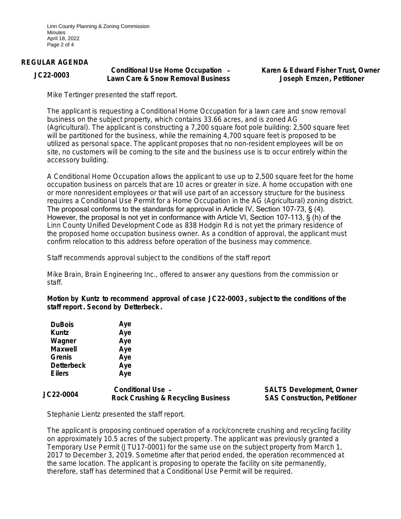Linn County Planning & Zoning Commission Minutes April 18, 2022 Page 2 of 4

#### **REGULAR AGENDA**

#### **JC22-0003 Conditional Use Home Occupation** – **Lawn Care & Snow Removal Business**

**Karen & Edward Fisher Trust, Owner Joseph Ernzen, Petitioner**

Mike Tertinger presented the staff report.

The applicant is requesting a Conditional Home Occupation for a lawn care and snow removal business on the subject property, which contains 33.66 acres, and is zoned AG (Agricultural). The applicant is constructing a 7,200 square foot pole building: 2,500 square feet will be partitioned for the business, while the remaining 4,700 square feet is proposed to be utilized as personal space. The applicant proposes that no non-resident employees will be on site, no customers will be coming to the site and the business use is to occur entirely within the accessory building.

A Conditional Home Occupation allows the applicant to use up to 2,500 square feet for the home occupation business on parcels that are 10 acres or greater in size. A home occupation with one or more nonresident employees or that will use part of an accessory structure for the business requires a Conditional Use Permit for a Home Occupation in the AG (Agricultural) zoning district. The proposal conforms to the standards for approval in Article IV, Section 107-73, § (4). However, the proposal is not yet in conformance with Article VI, Section 107-113, § (h) of the Linn County Unified Development Code as 838 Hodgin Rd is not yet the primary residence of the proposed home occupation business owner. As a condition of approval, the applicant must confirm relocation to this address before operation of the business may commence.

Staff recommends approval subject to the conditions of the staff report

Mike Brain, Brain Engineering Inc., offered to answer any questions from the commission or staff.

**Motion by Kuntz to recommend approval of case JC22-0003 , subject to the conditions of the staff report . Second by Detterbeck .**

| <b>DuBois</b>     | Aye |
|-------------------|-----|
| <b>Kuntz</b>      | Aye |
| Wagner            | Aye |
| <b>Maxwell</b>    | Aye |
| <b>Grenis</b>     | Aye |
| <b>Detterbeck</b> | Aye |
| <b>Eilers</b>     | Aye |
|                   |     |

### **JC22-0004 Conditional Use** –  **Rock Crushing & Recycling Business**

**SALTS Development, Owner SAS Construction, Petitioner**

Stephanie Lientz presented the staff report.

The applicant is proposing continued operation of a rock/concrete crushing and recycling facility on approximately 10.5 acres of the subject property. The applicant was previously granted a Temporary Use Permit (JTU17-0001) for the same use on the subject property from March 1, 2017 to December 3, 2019. Sometime after that period ended, the operation recommenced at the same location. The applicant is proposing to operate the facility on site permanently, therefore, staff has determined that a Conditional Use Permit will be required.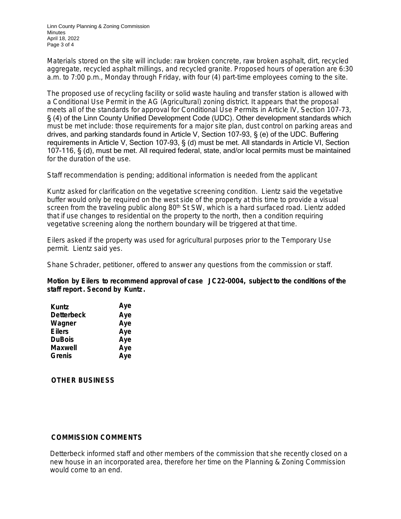Linn County Planning & Zoning Commission Minutes April 18, 2022 Page 3 of 4

Materials stored on the site will include: raw broken concrete, raw broken asphalt, dirt, recycled aggregate, recycled asphalt millings, and recycled granite. Proposed hours of operation are 6:30 a.m. to 7:00 p.m., Monday through Friday, with four (4) part-time employees coming to the site.

The proposed use of recycling facility or solid waste hauling and transfer station is allowed with a Conditional Use Permit in the AG (Agricultural) zoning district. It appears that the proposal meets all of the standards for approval for Conditional Use Permits in Article IV, Section 107-73, § (4) of the Linn County Unified Development Code (UDC). Other development standards which must be met include: those requirements for a major site plan, dust control on parking areas and drives, and parking standards found in Article V, Section 107-93, § (e) of the UDC. Buffering requirements in Article V, Section 107-93, § (d) must be met. All standards in Article VI, Section 107-116, § (d), must be met. All required federal, state, and/or local permits must be maintained for the duration of the use.

Staff recommendation is pending; additional information is needed from the applicant

Kuntz asked for clarification on the vegetative screening condition. Lientz said the vegetative buffer would only be required on the west side of the property at this time to provide a visual screen from the traveling public along 80<sup>th</sup> St SW, which is a hard surfaced road. Lientz added that if use changes to residential on the property to the north, then a condition requiring vegetative screening along the northern boundary will be triggered at that time.

Eilers asked if the property was used for agricultural purposes prior to the Temporary Use permit. Lientz said yes.

Shane Schrader, petitioner, offered to answer any questions from the commission or staff.

**Motion by Eilers to recommend approval of case JC22-0004, subject to the conditions of the staff report . Second by Kuntz.** 

| <b>Kuntz</b>      | Aye |
|-------------------|-----|
| <b>Detterbeck</b> | Aye |
| Wagner            | Aye |
| <b>Eilers</b>     | Aye |
| <b>DuBois</b>     | Aye |
| <b>Maxwell</b>    | Aye |
| <b>Grenis</b>     | Aye |

**OTHER BUSINESS**

## **COMMISSION COMMENTS**

Detterbeck informed staff and other members of the commission that she recently closed on a new house in an incorporated area, therefore her time on the Planning & Zoning Commission would come to an end.